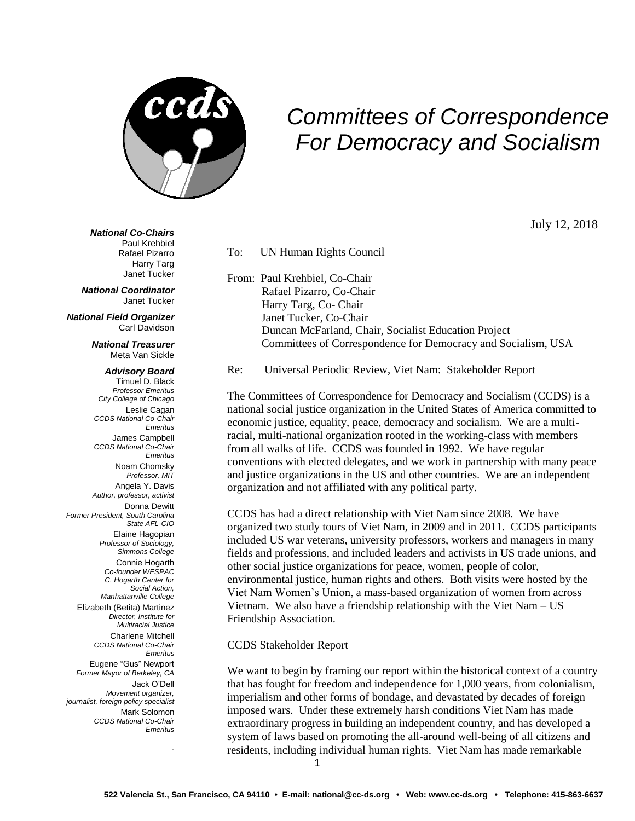

## *Committees of Correspondence For Democracy and Socialism*

July 12, 2018

*National Co-Chairs*

Paul Krehbiel Rafael Pizarro Harry Targ Janet Tucker

*National Coordinator* Janet Tucker

*National Field Organizer* Carl Davidson

> *National Treasurer* Meta Van Sickle

## *Advisory Board* Timuel D. Black

*Professor Emeritus City College of Chicago* Leslie Cagan *CCDS National Co-Chair Emeritus* James Campbell *CCDS National Co-Chair Emeritus* Noam Chomsky *Professor, MIT* Angela Y. Davis *Author, professor, activist*  Donna Dewitt *Former President, South Carolina State AFL-CIO* Elaine Hagopian *Professor of Sociology, Simmons College* Connie Hogarth *Co-founder WESPAC C. Hogarth Center for Social Action, Manhattanville College* Elizabeth (Betita) Martinez *Director, Institute for Multiracial Justice* Charlene Mitchell *CCDS National Co-Chair Emeritus* Eugene "Gus" Newport *Former Mayor of Berkeley, CA* Jack O'Dell *Movement organizer, journalist, foreign policy specialist*  Mark Solomon *CCDS National Co-Chair Emeritus*

*.*

From: Paul Krehbiel, Co-Chair Rafael Pizarro, Co-Chair Harry Targ, Co- Chair Janet Tucker, Co-Chair Duncan McFarland, Chair, Socialist Education Project Committees of Correspondence for Democracy and Socialism, USA

Re: Universal Periodic Review, Viet Nam: Stakeholder Report

The Committees of Correspondence for Democracy and Socialism (CCDS) is a national social justice organization in the United States of America committed to economic justice, equality, peace, democracy and socialism. We are a multiracial, multi-national organization rooted in the working-class with members from all walks of life. CCDS was founded in 1992. We have regular conventions with elected delegates, and we work in partnership with many peace and justice organizations in the US and other countries. We are an independent organization and not affiliated with any political party.

CCDS has had a direct relationship with Viet Nam since 2008. We have organized two study tours of Viet Nam, in 2009 and in 2011. CCDS participants included US war veterans, university professors, workers and managers in many fields and professions, and included leaders and activists in US trade unions, and other social justice organizations for peace, women, people of color, environmental justice, human rights and others. Both visits were hosted by the Viet Nam Women's Union, a mass-based organization of women from across Vietnam. We also have a friendship relationship with the Viet Nam – US Friendship Association.

## CCDS Stakeholder Report

To: UN Human Rights Council

We want to begin by framing our report within the historical context of a country that has fought for freedom and independence for 1,000 years, from colonialism, imperialism and other forms of bondage, and devastated by decades of foreign imposed wars. Under these extremely harsh conditions Viet Nam has made extraordinary progress in building an independent country, and has developed a system of laws based on promoting the all-around well-being of all citizens and residents, including individual human rights. Viet Nam has made remarkable

1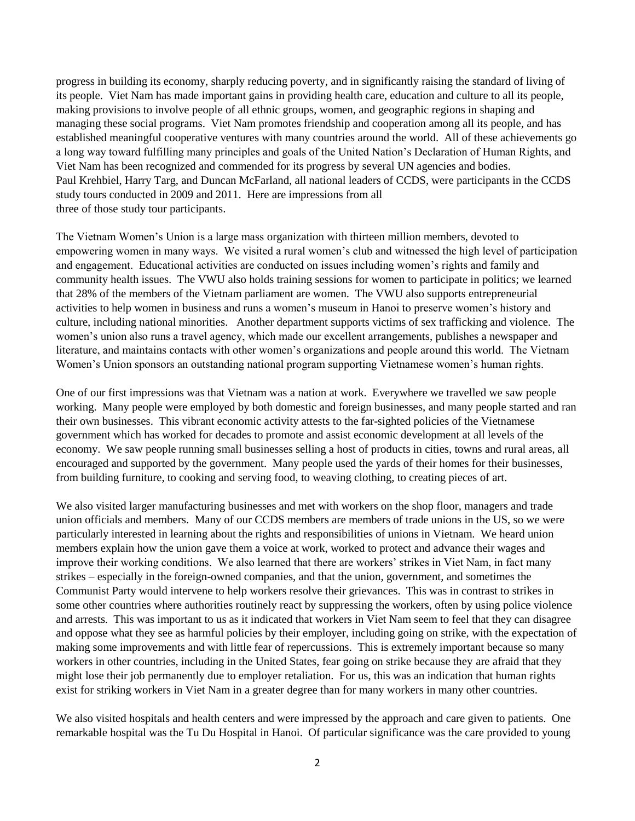progress in building its economy, sharply reducing poverty, and in significantly raising the standard of living of its people. Viet Nam has made important gains in providing health care, education and culture to all its people, making provisions to involve people of all ethnic groups, women, and geographic regions in shaping and managing these social programs. Viet Nam promotes friendship and cooperation among all its people, and has established meaningful cooperative ventures with many countries around the world. All of these achievements go a long way toward fulfilling many principles and goals of the United Nation's Declaration of Human Rights, and Viet Nam has been recognized and commended for its progress by several UN agencies and bodies. Paul Krehbiel, Harry Targ, and Duncan McFarland, all national leaders of CCDS, were participants in the CCDS study tours conducted in 2009 and 2011. Here are impressions from all three of those study tour participants.

The Vietnam Women's Union is a large mass organization with thirteen million members, devoted to empowering women in many ways. We visited a rural women's club and witnessed the high level of participation and engagement. Educational activities are conducted on issues including women's rights and family and community health issues. The VWU also holds training sessions for women to participate in politics; we learned that 28% of the members of the Vietnam parliament are women. The VWU also supports entrepreneurial activities to help women in business and runs a women's museum in Hanoi to preserve women's history and culture, including national minorities. Another department supports victims of sex trafficking and violence. The women's union also runs a travel agency, which made our excellent arrangements, publishes a newspaper and literature, and maintains contacts with other women's organizations and people around this world. The Vietnam Women's Union sponsors an outstanding national program supporting Vietnamese women's human rights.

One of our first impressions was that Vietnam was a nation at work. Everywhere we travelled we saw people working. Many people were employed by both domestic and foreign businesses, and many people started and ran their own businesses. This vibrant economic activity attests to the far-sighted policies of the Vietnamese government which has worked for decades to promote and assist economic development at all levels of the economy. We saw people running small businesses selling a host of products in cities, towns and rural areas, all encouraged and supported by the government. Many people used the yards of their homes for their businesses, from building furniture, to cooking and serving food, to weaving clothing, to creating pieces of art.

We also visited larger manufacturing businesses and met with workers on the shop floor, managers and trade union officials and members. Many of our CCDS members are members of trade unions in the US, so we were particularly interested in learning about the rights and responsibilities of unions in Vietnam. We heard union members explain how the union gave them a voice at work, worked to protect and advance their wages and improve their working conditions. We also learned that there are workers' strikes in Viet Nam, in fact many strikes – especially in the foreign-owned companies, and that the union, government, and sometimes the Communist Party would intervene to help workers resolve their grievances. This was in contrast to strikes in some other countries where authorities routinely react by suppressing the workers, often by using police violence and arrests. This was important to us as it indicated that workers in Viet Nam seem to feel that they can disagree and oppose what they see as harmful policies by their employer, including going on strike, with the expectation of making some improvements and with little fear of repercussions. This is extremely important because so many workers in other countries, including in the United States, fear going on strike because they are afraid that they might lose their job permanently due to employer retaliation. For us, this was an indication that human rights exist for striking workers in Viet Nam in a greater degree than for many workers in many other countries.

We also visited hospitals and health centers and were impressed by the approach and care given to patients. One remarkable hospital was the Tu Du Hospital in Hanoi. Of particular significance was the care provided to young